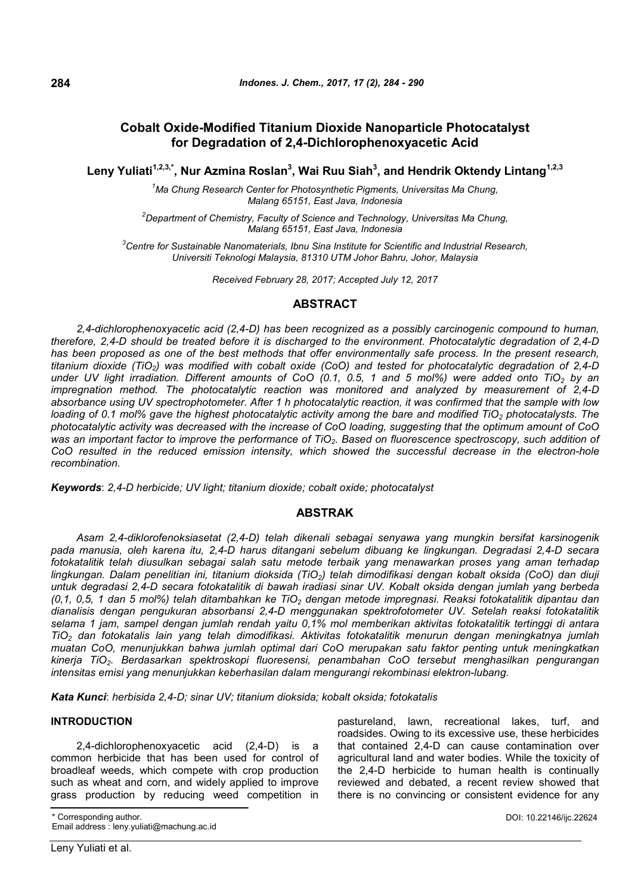# **Cobalt Oxide-Modified Titanium Dioxide Nanoparticle Photocatalyst for Degradation of 2,4-Dichlorophenoxyacetic Acid**

**Leny Yuliati1,2,3,\*, Nur Azmina Roslan<sup>3</sup> , Wai Ruu Siah<sup>3</sup> , and Hendrik Oktendy Lintang1,2,3**

*<sup>1</sup>Ma Chung Research Center for Photosynthetic Pigments, Universitas Ma Chung, Malang 65151, East Java, Indonesia*

*<sup>2</sup>Department of Chemistry, Faculty of Science and Technology, Universitas Ma Chung, Malang 65151, East Java, Indonesia*

*<sup>3</sup>Centre for Sustainable Nanomaterials, Ibnu Sina Institute for Scientific and Industrial Research, Universiti Teknologi Malaysia, 81310 UTM Johor Bahru, Johor, Malaysia*

*Received February 28, 2017; Accepted July 12, 2017*

### **ABSTRACT**

*2,4-dichlorophenoxyacetic acid (2,4-D) has been recognized as a possibly carcinogenic compound to human, therefore, 2,4-D should be treated before it is discharged to the environment. Photocatalytic degradation of 2,4-D has been proposed as one of the best methods that offer environmentally safe process. In the present research, titanium dioxide (TiO2) was modified with cobalt oxide (CoO) and tested for photocatalytic degradation of 2,4-D under UV light irradiation. Different amounts of CoO (0.1, 0.5, 1 and 5 mol%) were added onto TiO<sup>2</sup> by an impregnation method. The photocatalytic reaction was monitored and analyzed by measurement of 2,4-D absorbance using UV spectrophotometer. After 1 h photocatalytic reaction, it was confirmed that the sample with low loading of 0.1 mol% gave the highest photocatalytic activity among the bare and modified TiO<sup>2</sup> photocatalysts. The photocatalytic activity was decreased with the increase of CoO loading, suggesting that the optimum amount of CoO was an important factor to improve the performance of TiO2. Based on fluorescence spectroscopy, such addition of CoO resulted in the reduced emission intensity, which showed the successful decrease in the electron-hole recombination.*

*Keywords*: *2,4-D herbicide; UV light; titanium dioxide; cobalt oxide; photocatalyst*

#### **ABSTRAK**

*Asam 2,4-diklorofenoksiasetat (2,4-D) telah dikenali sebagai senyawa yang mungkin bersifat karsinogenik pada manusia, oleh karena itu, 2,4-D harus ditangani sebelum dibuang ke lingkungan. Degradasi 2,4-D secara fotokatalitik telah diusulkan sebagai salah satu metode terbaik yang menawarkan proses yang aman terhadap lingkungan. Dalam penelitian ini, titanium dioksida (TiO2) telah dimodifikasi dengan kobalt oksida (CoO) dan diuji untuk degradasi 2,4-D secara fotokatalitik di bawah iradiasi sinar UV. Kobalt oksida dengan jumlah yang berbeda (0,1, 0,5, 1 dan 5 mol%) telah ditambahkan ke TiO<sup>2</sup> dengan metode impregnasi. Reaksi fotokatalitik dipantau dan dianalisis dengan pengukuran absorbansi 2,4-D menggunakan spektrofotometer UV. Setelah reaksi fotokatalitik selama 1 jam, sampel dengan jumlah rendah yaitu 0,1% mol memberikan aktivitas fotokatalitik tertinggi di antara TiO<sup>2</sup> dan fotokatalis lain yang telah dimodifikasi. Aktivitas fotokatalitik menurun dengan meningkatnya jumlah muatan CoO, menunjukkan bahwa jumlah optimal dari CoO merupakan satu faktor penting untuk meningkatkan kinerja TiO2. Berdasarkan spektroskopi fluoresensi, penambahan CoO tersebut menghasilkan pengurangan intensitas emisi yang menunjukkan keberhasilan dalam mengurangi rekombinasi elektron-lubang.*

*Kata Kunci*: *herbisida 2,4-D; sinar UV; titanium dioksida; kobalt oksida; fotokatalis*

#### **INTRODUCTION**

2,4-dichlorophenoxyacetic acid (2,4-D) is a common herbicide that has been used for control of broadleaf weeds, which compete with crop production such as wheat and corn, and widely applied to improve grass production by reducing weed competition in pastureland, lawn, recreational lakes, turf, and roadsides. Owing to its excessive use, these herbicides that contained 2,4-D can cause contamination over agricultural land and water bodies. While the toxicity of the 2,4-D herbicide to human health is continually reviewed and debated, a recent review showed that there is no convincing or consistent evidence for any

Corresponding author.

Email address : leny.yuliati@machung.ac.id

DOI: 10.22146/ijc.22624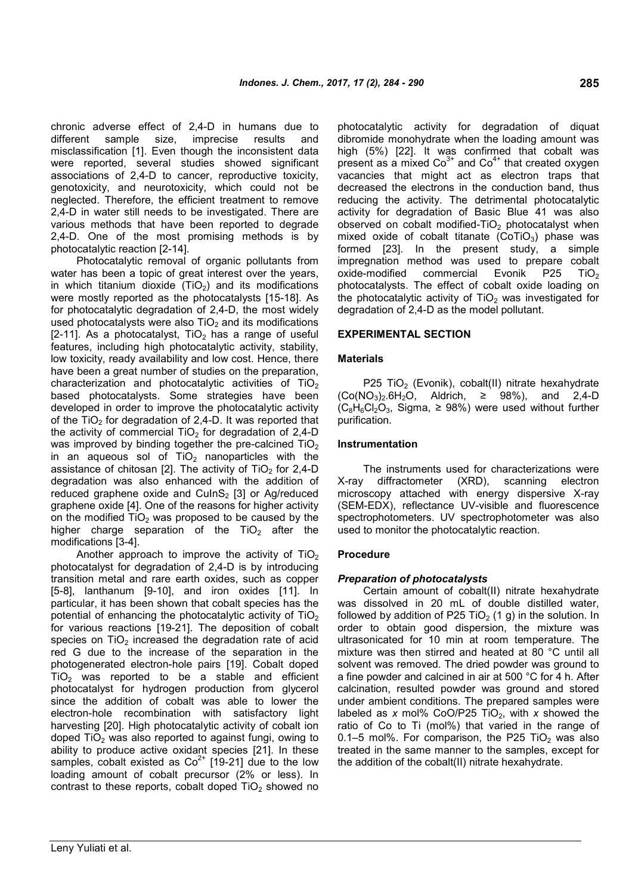chronic adverse effect of 2,4-D in humans due to different sample size, imprecise results and misclassification [1]. Even though the inconsistent data were reported, several studies showed significant associations of 2,4-D to cancer, reproductive toxicity, genotoxicity, and neurotoxicity, which could not be neglected. Therefore, the efficient treatment to remove 2,4-D in water still needs to be investigated. There are various methods that have been reported to degrade 2,4-D. One of the most promising methods is by photocatalytic reaction [2-14].

Photocatalytic removal of organic pollutants from water has been a topic of great interest over the years, in which titanium dioxide  $(TiO<sub>2</sub>)$  and its modifications were mostly reported as the photocatalysts [15-18]. As for photocatalytic degradation of 2,4-D, the most widely used photocatalysts were also  $TiO<sub>2</sub>$  and its modifications [2-11]. As a photocatalyst,  $TiO<sub>2</sub>$  has a range of useful features, including high photocatalytic activity, stability, low toxicity, ready availability and low cost. Hence, there have been a great number of studies on the preparation, characterization and photocatalytic activities of  $TiO<sub>2</sub>$ based photocatalysts. Some strategies have been developed in order to improve the photocatalytic activity of the TiO<sub>2</sub> for degradation of 2,4-D. It was reported that the activity of commercial  $TiO<sub>2</sub>$  for degradation of 2,4-D was improved by binding together the pre-calcined  $TiO<sub>2</sub>$ in an aqueous sol of  $TiO<sub>2</sub>$  nanoparticles with the assistance of chitosan [2]. The activity of  $TiO<sub>2</sub>$  for 2,4-D degradation was also enhanced with the addition of reduced graphene oxide and  $CulnS<sub>2</sub> [3]$  or Ag/reduced graphene oxide [4]. One of the reasons for higher activity on the modified  $TiO<sub>2</sub>$  was proposed to be caused by the higher charge separation of the  $TiO<sub>2</sub>$  after the modifications [3-4].

Another approach to improve the activity of  $TiO<sub>2</sub>$ photocatalyst for degradation of 2,4-D is by introducing transition metal and rare earth oxides, such as copper [5-8], lanthanum [9-10], and iron oxides [11]. In particular, it has been shown that cobalt species has the potential of enhancing the photocatalytic activity of  $TiO<sub>2</sub>$ for various reactions [19-21]. The deposition of cobalt species on  $TiO<sub>2</sub>$  increased the degradation rate of acid red G due to the increase of the separation in the photogenerated electron-hole pairs [19]. Cobalt doped  $TiO<sub>2</sub>$  was reported to be a stable and efficient photocatalyst for hydrogen production from glycerol since the addition of cobalt was able to lower the electron-hole recombination with satisfactory light harvesting [20]. High photocatalytic activity of cobalt ion doped  $TiO<sub>2</sub>$  was also reported to against fungi, owing to ability to produce active oxidant species [21]. In these samples, cobalt existed as  $Co<sup>2+</sup>$  [19-21] due to the low loading amount of cobalt precursor (2% or less). In contrast to these reports, cobalt doped  $TiO<sub>2</sub>$  showed no

photocatalytic activity for degradation of diquat dibromide monohydrate when the loading amount was high (5%) [22]. It was confirmed that cobalt was present as a mixed  $Co<sup>3+</sup>$  and  $Co<sup>4+</sup>$  that created oxygen vacancies that might act as electron traps that decreased the electrons in the conduction band, thus reducing the activity. The detrimental photocatalytic activity for degradation of Basic Blue 41 was also observed on cobalt modified-TiO<sub>2</sub> photocatalyst when mixed oxide of cobalt titanate  $(CoTiO<sub>3</sub>)$  phase was formed [23]. In the present study, a simple impregnation method was used to prepare cobalt oxide-modified commercial Evonik P25 TiO<sub>2</sub> photocatalysts. The effect of cobalt oxide loading on the photocatalytic activity of  $TiO<sub>2</sub>$  was investigated for degradation of 2,4-D as the model pollutant.

#### **EXPERIMENTAL SECTION**

#### **Materials**

P25 TiO<sub>2</sub> (Evonik), cobalt(II) nitrate hexahydrate  $(Co(NO<sub>3</sub>)<sub>2</sub>.6H<sub>2</sub>O$ , Aldrich, ≥ 98%), and 2,4-D  $(C_8H_6Cl_2O_3,$  Sigma,  $\geq$  98%) were used without further purification.

#### **Instrumentation**

The instruments used for characterizations were diffractometer (XRD), scanning electron microscopy attached with energy dispersive X-ray (SEM-EDX), reflectance UV-visible and fluorescence spectrophotometers. UV spectrophotometer was also used to monitor the photocatalytic reaction.

#### **Procedure**

#### *Preparation of photocatalysts*

Certain amount of cobalt(II) nitrate hexahydrate was dissolved in 20 mL of double distilled water, followed by addition of P25 TiO<sub>2</sub> (1 g) in the solution. In order to obtain good dispersion, the mixture was ultrasonicated for 10 min at room temperature. The mixture was then stirred and heated at 80 °C until all solvent was removed. The dried powder was ground to a fine powder and calcined in air at 500 °C for 4 h. After calcination, resulted powder was ground and stored under ambient conditions. The prepared samples were labeled as *x* mol% CoO/P25 TiO<sub>2</sub>, with *x* showed the ratio of Co to Ti (mol%) that varied in the range of 0.1–5 mol%. For comparison, the P25 TiO<sub>2</sub> was also treated in the same manner to the samples, except for the addition of the cobalt(II) nitrate hexahydrate.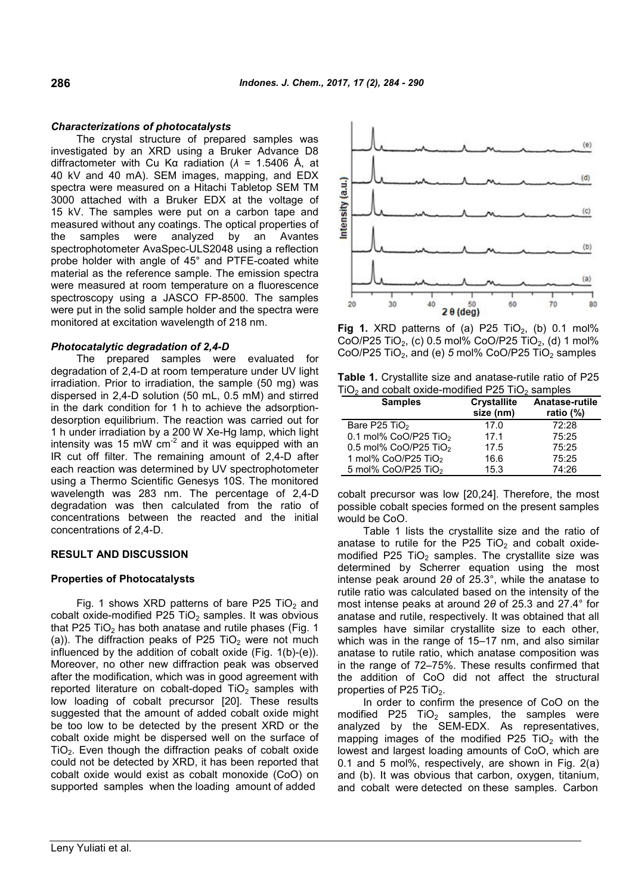#### *Characterizations of photocatalysts*

The crystal structure of prepared samples was investigated by an XRD using a Bruker Advance D8 diffractometer with Cu Kα radiation (*λ* = 1.5406 Å, at 40 kV and 40 mA). SEM images, mapping, and EDX spectra were measured on a Hitachi Tabletop SEM TM Spectra were measured on a Hitachi Tabletop SEM TM<br>3000 attached with a Bruker EDX at the voltage of<br>15 kV. The samples were put on a carbon tape and<br>measured without any coatings. The optical properties of<br>the samples wer 15 kV. The samples were put on a carbon tape and measured without any coatings. The optical properties of the samples were analyzed by an Avantes spectrophotometer AvaSpec-ULS2048 using a reflection probe holder with angle of 45° and PTFE-coated white material as the reference sample. The emission spectra were measured at room temperature on a fluorescence spectroscopy using a JASCO FP-8500. The samples were put in the solid sample holder and the spectra were monitored at excitation wavelength of 218 nm.

### *Photocatalytic degradation of 2,4-D*

The prepared samples were evaluated for degradation of 2,4-D at room temperature under UV light irradiation. Prior to irradiation, the sample (50 mg) was dispersed in 2,4-D solution (50 mL, 0.5 mM) and stirred in the dark condition for 1 h to achieve the adsorptiondesorption equilibrium. The reaction was carried out for 1 h under irradiation by a 200 W Xe-Hg lamp, which light intensity was 15 mW  $\text{cm}^2$  and it was equipped with an IR cut off filter. The remaining amount of 2,4-D after each reaction was determined by UV spectrophotometer using a Thermo Scientific Genesys 10S. The monitored wavelength was 283 nm. The percentage of 2,4-D degradation was then calculated from the ratio of concentrations between the reacted and the initial concentrations of 2,4-D.

## **RESULT AND DISCUSSION**

## **Properties of Photocatalysts**

Fig. 1 shows XRD patterns of bare P25 TiO<sub>2</sub> and cobalt oxide-modified P25 TiO<sub>2</sub> samples. It was obvious that P25 TiO<sub>2</sub> has both anatase and rutile phases (Fig. 1) (a)). The diffraction peaks of P25 TiO<sub>2</sub> were not much influenced by the addition of cobalt oxide (Fig. 1(b)-(e)). Moreover, no other new diffraction peak was observed after the modification, which was in good agreement with reported literature on cobalt-doped  $TiO<sub>2</sub>$  samples with low loading of cobalt precursor [20]. These results suggested that the amount of added cobalt oxide might be too low to be detected by the present XRD or the cobalt oxide might be dispersed well on the surface of  $TiO<sub>2</sub>$ . Even though the diffraction peaks of cobalt oxide could not be detected by XRD, it has been reported that cobalt oxide would exist as cobalt monoxide (CoO) on supported samples when the loading amount of added



**Fig 1.** XRD patterns of (a) P25 TiO<sub>2</sub>, (b) 0.1 mol% CoO/P25 TiO<sub>2</sub>, (c) 0.5 mol% CoO/P25 TiO<sub>2</sub>, (d) 1 mol% CoO/P25 TiO<sub>2</sub>, and (e) 5 mol% CoO/P25 TiO<sub>2</sub> samples

| Table 1. Crystallite size and anatase-rutile ratio of P25     |  |
|---------------------------------------------------------------|--|
| $TiO2$ and cobalt oxide-modified P25 TiO <sub>2</sub> samples |  |

| <b>Samples</b>                      | <b>Crystallite</b><br>size (nm) | Anatase-rutile<br>ratio $(\%)$ |  |
|-------------------------------------|---------------------------------|--------------------------------|--|
| Bare P25 TiO <sub>2</sub>           | 17.0                            | 72:28                          |  |
| 0.1 mol% $CoO/P25$ TiO <sub>2</sub> | 17.1                            | 75:25                          |  |
| $0.5$ mol% CoO/P25 TiO <sub>2</sub> | 17.5                            | 75:25                          |  |
| 1 mol% CoO/P25 TiO <sub>2</sub>     | 16.6                            | 75:25                          |  |
| 5 mol% CoO/P25 TiO <sub>2</sub>     | 15.3                            | 74:26                          |  |

cobalt precursor was low [20,24]. Therefore, the most possible cobalt species formed on the present samples would be CoO.

Table 1 lists the crystallite size and the ratio of anatase to rutile for the P25 TiO<sub>2</sub> and cobalt oxidemodified P25 TiO<sub>2</sub> samples. The crystallite size was determined by Scherrer equation using the most intense peak around 2*θ* of 25.3°, while the anatase to rutile ratio was calculated based on the intensity of the most intense peaks at around 2*θ* of 25.3 and 27.4° for anatase and rutile, respectively. It was obtained that all samples have similar crystallite size to each other, which was in the range of 15–17 nm, and also similar anatase to rutile ratio, which anatase composition was in the range of 72–75%. These results confirmed that the addition of CoO did not affect the structural properties of P25 TiO $_2$ .

In order to confirm the presence of CoO on the modified P25  $TiO<sub>2</sub>$  samples, the samples were analyzed by the SEM-EDX. As representatives, mapping images of the modified P25  $TiO<sub>2</sub>$  with the lowest and largest loading amounts of CoO, which are 0.1 and 5 mol%, respectively, are shown in Fig. 2(a) and (b). It was obvious that carbon, oxygen, titanium, and cobalt were detected on these samples. Carbon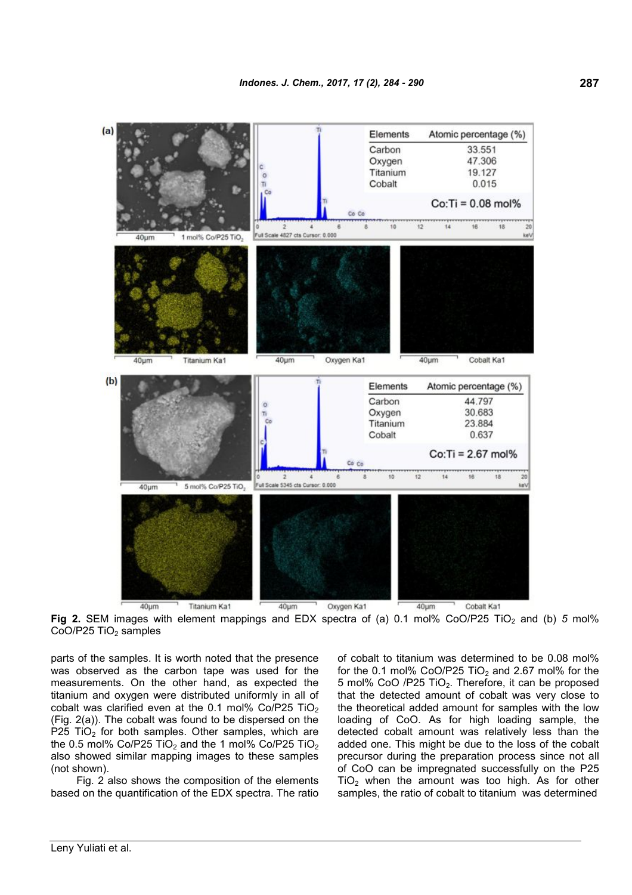

**Fig 2.** SEM images with element mappings and EDX spectra of (a) 0.1 mol% CoO/P25 TiO<sub>2</sub> and (b) 5 mol% CoO/P25 TiO<sub>2</sub> samples

parts of the samples. It is worth noted that the presence was observed as the carbon tape was used for the measurements. On the other hand, as expected the titanium and oxygen were distributed uniformly in all of cobalt was clarified even at the 0.1 mol%  $Co/P25$  TiO<sub>2</sub> (Fig. 2(a)). The cobalt was found to be dispersed on the P25 TiO<sub>2</sub> for both samples. Other samples, which are the 0.5 mol% Co/P25 TiO<sub>2</sub> and the 1 mol% Co/P25 TiO<sub>2</sub> also showed similar mapping images to these samples (not shown).

Fig. 2 also shows the composition of the elements based on the quantification of the EDX spectra. The ratio of cobalt to titanium was determined to be 0.08 mol% for the 0.1 mol% CoO/P25 TiO<sub>2</sub> and 2.67 mol% for the 5 mol% CoO /P25 TiO<sub>2</sub>. Therefore, it can be proposed that the detected amount of cobalt was very close to the theoretical added amount for samples with the low loading of CoO. As for high loading sample, the detected cobalt amount was relatively less than the added one. This might be due to the loss of the cobalt precursor during the preparation process since not all of CoO can be impregnated successfully on the P25  $TiO<sub>2</sub>$  when the amount was too high. As for other samples, the ratio of cobalt to titanium was determined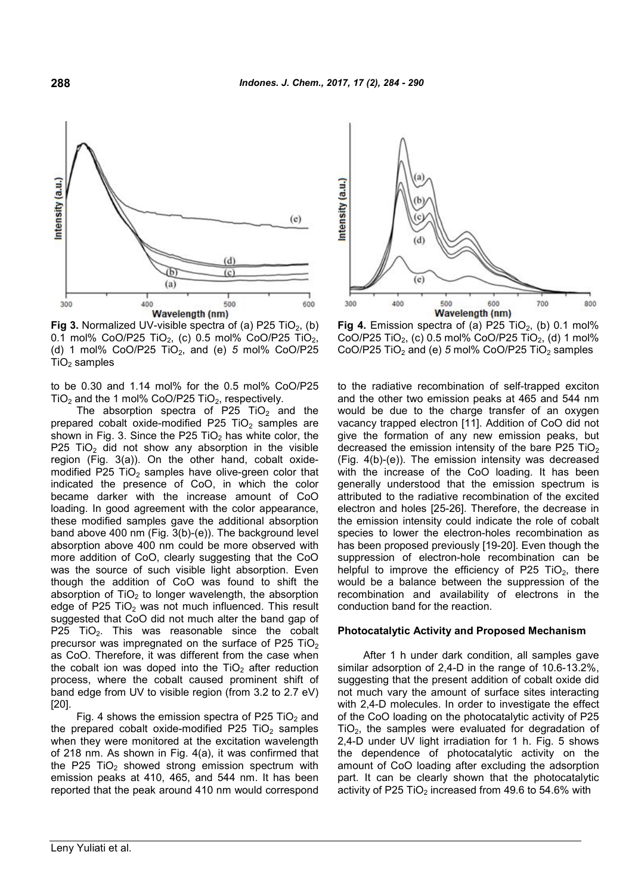

**Fig 3.** Normalized UV-visible spectra of (a) P25 TiO<sub>2</sub>, (b) 0.1 mol% CoO/P25 TiO<sub>2</sub>, (c) 0.5 mol% CoO/P25 TiO<sub>2</sub>, (d) 1 mol% CoO/P25 TiO2, and (e) *5* mol% CoO/P25  $TiO<sub>2</sub>$  samples

to be 0.30 and 1.14 mol% for the 0.5 mol% CoO/P25  $TiO<sub>2</sub>$  and the 1 mol% CoO/P25 TiO<sub>2</sub>, respectively.

The absorption spectra of P25 TiO<sub>2</sub> and the prepared cobalt oxide-modified P25 TiO<sub>2</sub> samples are shown in Fig. 3. Since the P25 TiO<sub>2</sub> has white color, the P25 TiO<sub>2</sub> did not show any absorption in the visible region (Fig. 3(a)). On the other hand, cobalt oxidemodified P25 TiO<sub>2</sub> samples have olive-green color that indicated the presence of CoO, in which the color became darker with the increase amount of CoO loading. In good agreement with the color appearance, these modified samples gave the additional absorption band above 400 nm (Fig. 3(b)-(e)). The background level absorption above 400 nm could be more observed with more addition of CoO, clearly suggesting that the CoO was the source of such visible light absorption. Even though the addition of CoO was found to shift the absorption of  $TiO<sub>2</sub>$  to longer wavelength, the absorption edge of P25  $TiO<sub>2</sub>$  was not much influenced. This result suggested that CoO did not much alter the band gap of P25 TiO<sub>2</sub>. This was reasonable since the cobalt precursor was impregnated on the surface of P25 TiO<sub>2</sub> as CoO. Therefore, it was different from the case when the cobalt ion was doped into the  $TiO<sub>2</sub>$  after reduction process, where the cobalt caused prominent shift of band edge from UV to visible region (from 3.2 to 2.7 eV) [20].

Fig. 4 shows the emission spectra of P25 TiO<sub>2</sub> and the prepared cobalt oxide-modified P25 TiO<sub>2</sub> samples when they were monitored at the excitation wavelength of 218 nm. As shown in Fig. 4(a), it was confirmed that the P25 TiO<sub>2</sub> showed strong emission spectrum with emission peaks at 410, 465, and 544 nm. It has been reported that the peak around 410 nm would correspond



**Fig 4.** Emission spectra of (a) P25 TiO<sub>2</sub>, (b) 0.1 mol% CoO/P25 TiO<sub>2</sub>, (c) 0.5 mol% CoO/P25 TiO<sub>2</sub>, (d) 1 mol% CoO/P25 TiO<sub>2</sub> and (e)  $5 \text{ mol}$ % CoO/P25 TiO<sub>2</sub> samples

to the radiative recombination of self-trapped exciton and the other two emission peaks at 465 and 544 nm would be due to the charge transfer of an oxygen vacancy trapped electron [11]. Addition of CoO did not give the formation of any new emission peaks, but decreased the emission intensity of the bare P25 TiO<sub>2</sub> (Fig. 4(b)-(e)). The emission intensity was decreased with the increase of the CoO loading. It has been generally understood that the emission spectrum is attributed to the radiative recombination of the excited electron and holes [25-26]. Therefore, the decrease in the emission intensity could indicate the role of cobalt species to lower the electron-holes recombination as has been proposed previously [19-20]. Even though the suppression of electron-hole recombination can be helpful to improve the efficiency of P25 TiO<sub>2</sub>, there would be a balance between the suppression of the recombination and availability of electrons in the conduction band for the reaction.

#### **Photocatalytic Activity and Proposed Mechanism**

After 1 h under dark condition, all samples gave similar adsorption of 2,4-D in the range of 10.6-13.2%, suggesting that the present addition of cobalt oxide did not much vary the amount of surface sites interacting with 2.4-D molecules. In order to investigate the effect of the CoO loading on the photocatalytic activity of P25 TiO2, the samples were evaluated for degradation of 2,4-D under UV light irradiation for 1 h. Fig. 5 shows the dependence of photocatalytic activity on the amount of CoO loading after excluding the adsorption part. It can be clearly shown that the photocatalytic activity of P25 TiO<sub>2</sub> increased from 49.6 to 54.6% with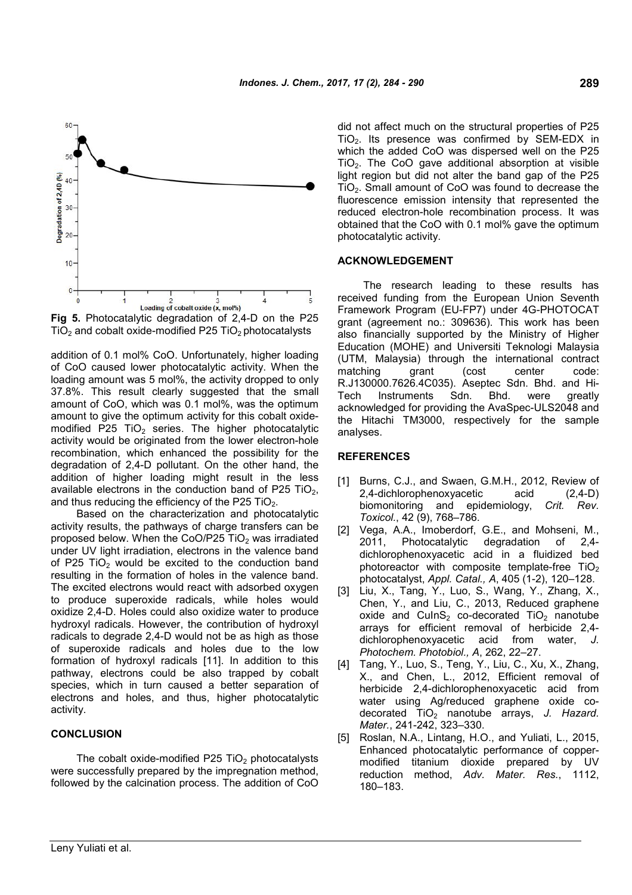

**Fig 5.** Photocatalytic degradation of 2,4-D on the P25  $TiO<sub>2</sub>$  and cobalt oxide-modified P25  $TiO<sub>2</sub>$  photocatalysts

addition of 0.1 mol% CoO. Unfortunately, higher loading of CoO caused lower photocatalytic activity. When the loading amount was 5 mol%, the activity dropped to only 37.8%. This result clearly suggested that the small amount of CoO, which was 0.1 mol%, was the optimum amount to give the optimum activity for this cobalt oxidemodified  $\overline{P25}$  TiO<sub>2</sub> series. The higher photocatalytic activity would be originated from the lower electron-hole recombination, which enhanced the possibility for the degradation of 2,4-D pollutant. On the other hand, the addition of higher loading might result in the less available electrons in the conduction band of P25 TiO<sub>2</sub>, and thus reducing the efficiency of the P25 TiO<sub>2</sub>.

Based on the characterization and photocatalytic activity results, the pathways of charge transfers can be proposed below. When the CoO/P25 TiO<sub>2</sub> was irradiated under UV light irradiation, electrons in the valence band of P25 TiO<sub>2</sub> would be excited to the conduction band resulting in the formation of holes in the valence band. The excited electrons would react with adsorbed oxygen to produce superoxide radicals, while holes would oxidize 2,4-D. Holes could also oxidize water to produce hydroxyl radicals. However, the contribution of hydroxyl radicals to degrade 2,4-D would not be as high as those of superoxide radicals and holes due to the low formation of hydroxyl radicals [11]. In addition to this pathway, electrons could be also trapped by cobalt species, which in turn caused a better separation of electrons and holes, and thus, higher photocatalytic activity.

#### **CONCLUSION**

The cobalt oxide-modified P25  $TiO<sub>2</sub>$  photocatalysts were successfully prepared by the impregnation method, followed by the calcination process. The addition of CoO did not affect much on the structural properties of P25  $TiO<sub>2</sub>$ . Its presence was confirmed by SEM-EDX in which the added CoO was dispersed well on the P25  $TiO<sub>2</sub>$ . The CoO gave additional absorption at visible light region but did not alter the band gap of the P25 TiO2. Small amount of CoO was found to decrease the fluorescence emission intensity that represented the reduced electron-hole recombination process. It was obtained that the CoO with 0.1 mol% gave the optimum photocatalytic activity.

#### **ACKNOWLEDGEMENT**

The research leading to these results has received funding from the European Union Seventh Framework Program (EU-FP7) under 4G-PHOTOCAT grant (agreement no.: 309636). This work has been also financially supported by the Ministry of Higher Education (MOHE) and Universiti Teknologi Malaysia (UTM, Malaysia) through the international contract matching grant (cost center code: R.J130000.7626.4C035). Aseptec Sdn. Bhd. and Hi-Tech Instruments Sdn. Bhd. were greatly acknowledged for providing the AvaSpec-ULS2048 and the Hitachi TM3000, respectively for the sample analyses.

#### **REFERENCES**

- [1] Burns, C.J., and Swaen, G.M.H., 2012, Review of 2,4-dichlorophenoxyacetic acid (2,4-D) biomonitoring and epidemiology, *Crit. Rev. Toxicol.*, 42 (9), 768–786.
- [2] Vega, A.A., Imoberdorf, G.E., and Mohseni, M., 2011, Photocatalytic degradation of 2,4 dichlorophenoxyacetic acid in a fluidized bed photoreactor with composite template-free  $TiO<sub>2</sub>$ photocatalyst, *Appl. Catal., A*, 405 (1-2), 120–128.
- [3] Liu, X., Tang, Y., Luo, S., Wang, Y., Zhang, X., Chen, Y., and Liu, C., 2013, Reduced graphene oxide and CuInS<sub>2</sub> co-decorated  $TiO<sub>2</sub>$  nanotube arrays for efficient removal of herbicide 2,4 dichlorophenoxyacetic acid from water, *J. Photochem. Photobiol., A*, 262, 22–27.
- [4] Tang, Y., Luo, S., Teng, Y., Liu, C., Xu, X., Zhang, X., and Chen, L., 2012, Efficient removal of herbicide 2,4-dichlorophenoxyacetic acid from water using Ag/reduced graphene oxide codecorated TiO<sub>2</sub> nanotube arrays, J. Hazard. *Mater.*, 241-242, 323–330.
- [5] Roslan, N.A., Lintang, H.O., and Yuliati, L., 2015, Enhanced photocatalytic performance of coppermodified titanium dioxide prepared by UV reduction method, *Adv. Mater. Res.*, 1112, 180–183.